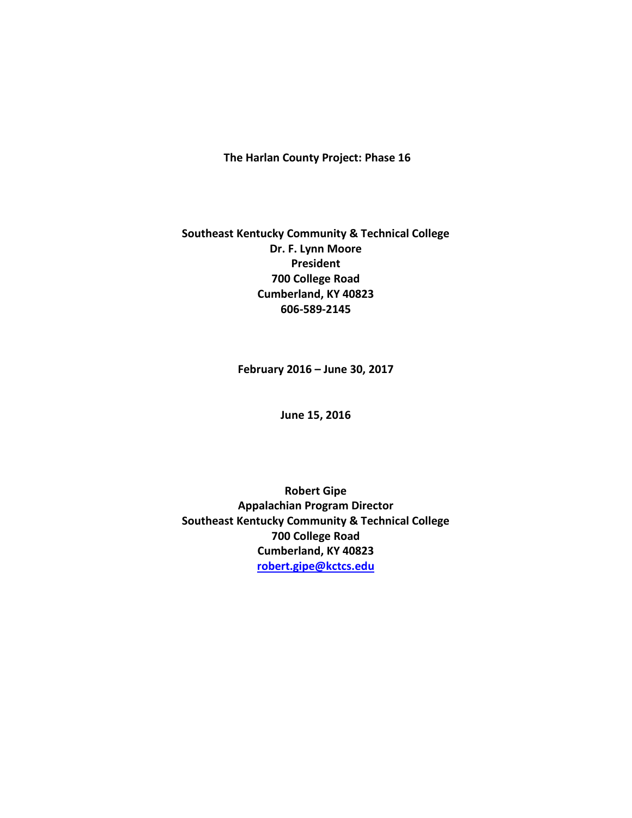**The Harlan County Project: Phase 16**

# **Southeast Kentucky Community & Technical College Dr. F. Lynn Moore President 700 College Road Cumberland, KY 40823 606-589-2145**

**February 2016 – June 30, 2017**

#### **June 15, 2016**

**Robert Gipe Appalachian Program Director Southeast Kentucky Community & Technical College 700 College Road Cumberland, KY 40823 [robert.gipe@kctcs.edu](mailto:Jane_johns@ABCCC.edu)**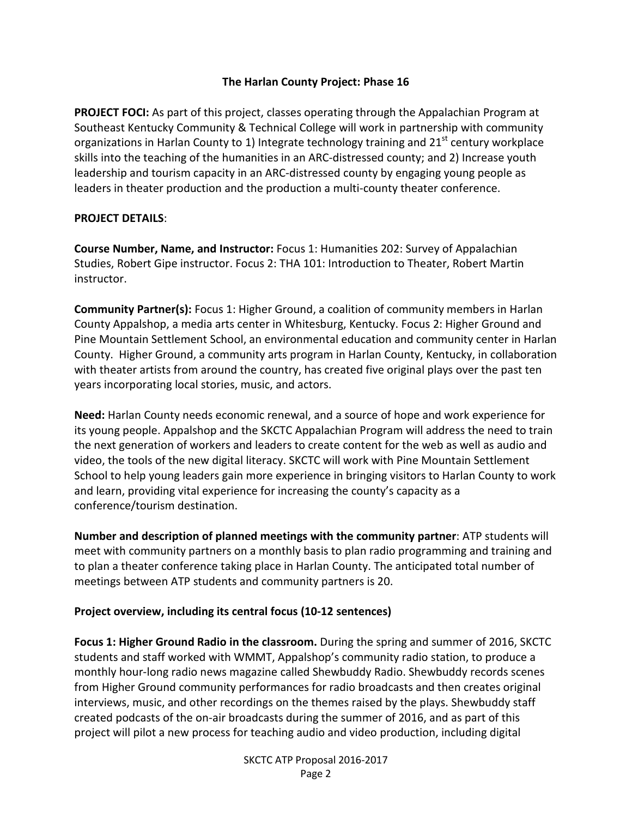### **The Harlan County Project: Phase 16**

**PROJECT FOCI:** As part of this project, classes operating through the Appalachian Program at Southeast Kentucky Community & Technical College will work in partnership with community organizations in Harlan County to 1) Integrate technology training and  $21<sup>st</sup>$  century workplace skills into the teaching of the humanities in an ARC-distressed county; and 2) Increase youth leadership and tourism capacity in an ARC-distressed county by engaging young people as leaders in theater production and the production a multi-county theater conference.

### **PROJECT DETAILS**:

**Course Number, Name, and Instructor:** Focus 1: Humanities 202: Survey of Appalachian Studies, Robert Gipe instructor. Focus 2: THA 101: Introduction to Theater, Robert Martin instructor.

**Community Partner(s):** Focus 1: Higher Ground, a coalition of community members in Harlan County Appalshop, a media arts center in Whitesburg, Kentucky. Focus 2: Higher Ground and Pine Mountain Settlement School, an environmental education and community center in Harlan County. Higher Ground, a community arts program in Harlan County, Kentucky, in collaboration with theater artists from around the country, has created five original plays over the past ten years incorporating local stories, music, and actors.

**Need:** Harlan County needs economic renewal, and a source of hope and work experience for its young people. Appalshop and the SKCTC Appalachian Program will address the need to train the next generation of workers and leaders to create content for the web as well as audio and video, the tools of the new digital literacy. SKCTC will work with Pine Mountain Settlement School to help young leaders gain more experience in bringing visitors to Harlan County to work and learn, providing vital experience for increasing the county's capacity as a conference/tourism destination.

**Number and description of planned meetings with the community partner**: ATP students will meet with community partners on a monthly basis to plan radio programming and training and to plan a theater conference taking place in Harlan County. The anticipated total number of meetings between ATP students and community partners is 20.

# **Project overview, including its central focus (10-12 sentences)**

**Focus 1: Higher Ground Radio in the classroom.** During the spring and summer of 2016, SKCTC students and staff worked with WMMT, Appalshop's community radio station, to produce a monthly hour-long radio news magazine called Shewbuddy Radio. Shewbuddy records scenes from Higher Ground community performances for radio broadcasts and then creates original interviews, music, and other recordings on the themes raised by the plays. Shewbuddy staff created podcasts of the on-air broadcasts during the summer of 2016, and as part of this project will pilot a new process for teaching audio and video production, including digital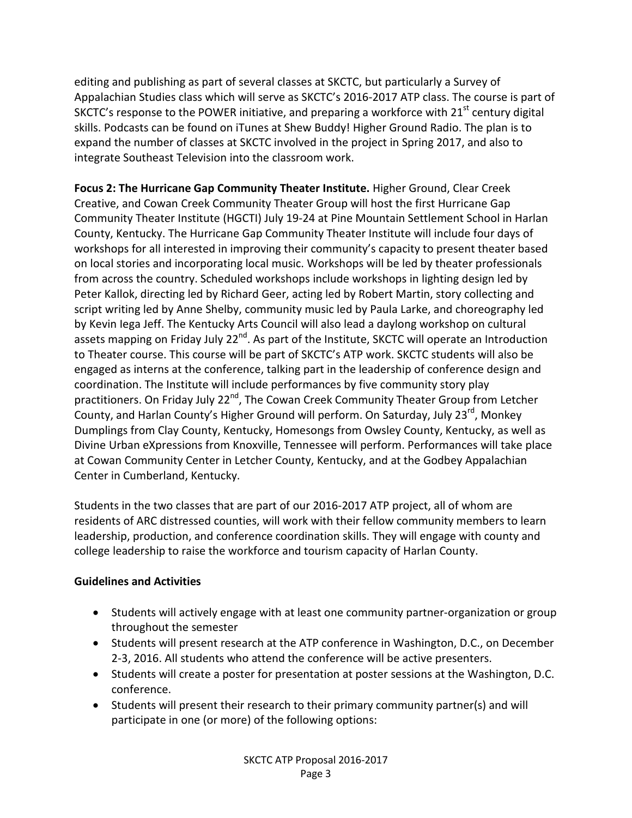editing and publishing as part of several classes at SKCTC, but particularly a Survey of Appalachian Studies class which will serve as SKCTC's 2016-2017 ATP class. The course is part of SKCTC's response to the POWER initiative, and preparing a workforce with 21<sup>st</sup> century digital skills. Podcasts can be found on iTunes at Shew Buddy! Higher Ground Radio. The plan is to expand the number of classes at SKCTC involved in the project in Spring 2017, and also to integrate Southeast Television into the classroom work.

**Focus 2: The Hurricane Gap Community Theater Institute.** Higher Ground, Clear Creek Creative, and Cowan Creek Community Theater Group will host the first Hurricane Gap Community Theater Institute (HGCTI) July 19-24 at Pine Mountain Settlement School in Harlan County, Kentucky. The Hurricane Gap Community Theater Institute will include four days of workshops for all interested in improving their community's capacity to present theater based on local stories and incorporating local music. Workshops will be led by theater professionals from across the country. Scheduled workshops include workshops in lighting design led by Peter Kallok, directing led by Richard Geer, acting led by Robert Martin, story collecting and script writing led by Anne Shelby, community music led by Paula Larke, and choreography led by Kevin Iega Jeff. The Kentucky Arts Council will also lead a daylong workshop on cultural assets mapping on Friday July 22<sup>nd</sup>. As part of the Institute, SKCTC will operate an Introduction to Theater course. This course will be part of SKCTC's ATP work. SKCTC students will also be engaged as interns at the conference, talking part in the leadership of conference design and coordination. The Institute will include performances by five community story play practitioners. On Friday July 22<sup>nd</sup>, The Cowan Creek Community Theater Group from Letcher County, and Harlan County's Higher Ground will perform. On Saturday, July 23<sup>rd</sup>, Monkey Dumplings from Clay County, Kentucky, Homesongs from Owsley County, Kentucky, as well as Divine Urban eXpressions from Knoxville, Tennessee will perform. Performances will take place at Cowan Community Center in Letcher County, Kentucky, and at the Godbey Appalachian Center in Cumberland, Kentucky.

Students in the two classes that are part of our 2016-2017 ATP project, all of whom are residents of ARC distressed counties, will work with their fellow community members to learn leadership, production, and conference coordination skills. They will engage with county and college leadership to raise the workforce and tourism capacity of Harlan County.

# **Guidelines and Activities**

- Students will actively engage with at least one community partner-organization or group throughout the semester
- Students will present research at the ATP conference in Washington, D.C., on December 2-3, 2016. All students who attend the conference will be active presenters.
- Students will create a poster for presentation at poster sessions at the Washington, D.C. conference.
- Students will present their research to their primary community partner(s) and will participate in one (or more) of the following options: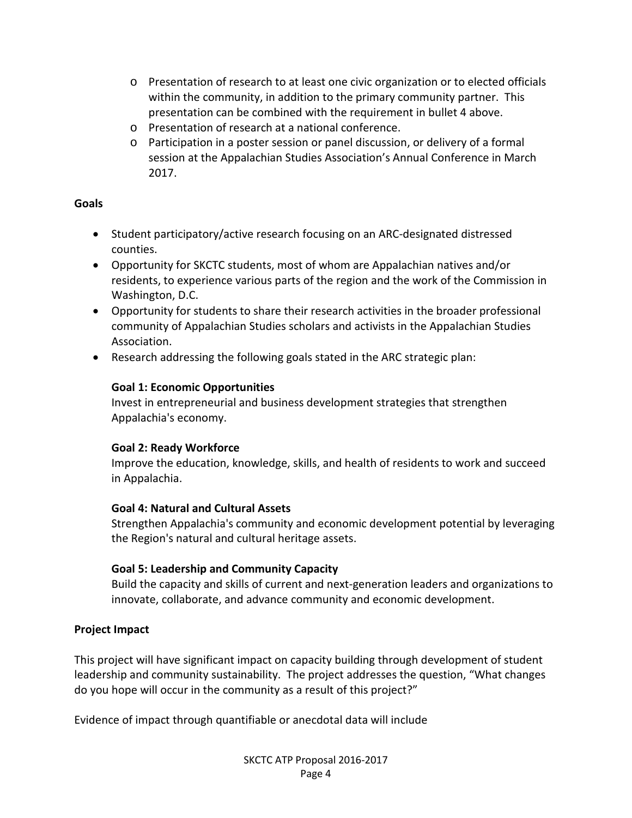- o Presentation of research to at least one civic organization or to elected officials within the community, in addition to the primary community partner. This presentation can be combined with the requirement in bullet 4 above.
- o Presentation of research at a national conference.
- o Participation in a poster session or panel discussion, or delivery of a formal session at the Appalachian Studies Association's Annual Conference in March 2017.

### **Goals**

- Student participatory/active research focusing on an ARC-designated distressed counties.
- Opportunity for SKCTC students, most of whom are Appalachian natives and/or residents, to experience various parts of the region and the work of the Commission in Washington, D.C.
- Opportunity for students to share their research activities in the broader professional community of Appalachian Studies scholars and activists in the Appalachian Studies Association.
- Research addressing the following goals stated in the ARC strategic plan:

# **Goal 1: Economic Opportunities**

Invest in entrepreneurial and business development strategies that strengthen Appalachia's economy.

#### **Goal 2: Ready Workforce**

Improve the education, knowledge, skills, and health of residents to work and succeed in Appalachia.

# **Goal 4: Natural and Cultural Assets**

Strengthen Appalachia's community and economic development potential by leveraging the Region's natural and cultural heritage assets.

# **Goal 5: Leadership and Community Capacity**

Build the capacity and skills of current and next-generation leaders and organizations to innovate, collaborate, and advance community and economic development.

# **Project Impact**

This project will have significant impact on capacity building through development of student leadership and community sustainability. The project addresses the question, "What changes do you hope will occur in the community as a result of this project?"

Evidence of impact through quantifiable or anecdotal data will include